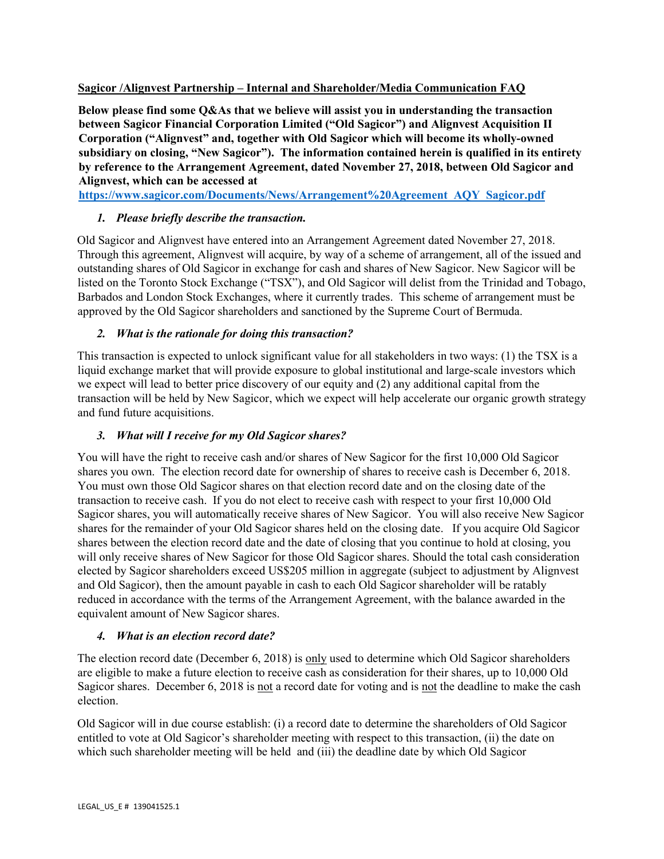#### **Sagicor /Alignvest Partnership – Internal and Shareholder/Media Communication FAQ**

**Below please find some Q&As that we believe will assist you in understanding the transaction between Sagicor Financial Corporation Limited ("Old Sagicor") and Alignvest Acquisition II Corporation ("Alignvest" and, together with Old Sagicor which will become its wholly-owned subsidiary on closing, "New Sagicor"). The information contained herein is qualified in its entirety by reference to the Arrangement Agreement, dated November 27, 2018, between Old Sagicor and Alignvest, which can be accessed at** 

**[https://www.sagicor.com/Documents/News/Arrangement%20Agreement\\_AQY\\_Sagicor.pdf](https://www.sagicor.com/Documents/News/Arrangement%20Agreement_AQY_Sagicor.pdf)**

# *1. Please briefly describe the transaction.*

Old Sagicor and Alignvest have entered into an Arrangement Agreement dated November 27, 2018. Through this agreement, Alignvest will acquire, by way of a scheme of arrangement, all of the issued and outstanding shares of Old Sagicor in exchange for cash and shares of New Sagicor. New Sagicor will be listed on the Toronto Stock Exchange ("TSX"), and Old Sagicor will delist from the Trinidad and Tobago, Barbados and London Stock Exchanges, where it currently trades. This scheme of arrangement must be approved by the Old Sagicor shareholders and sanctioned by the Supreme Court of Bermuda.

# *2. What is the rationale for doing this transaction?*

This transaction is expected to unlock significant value for all stakeholders in two ways: (1) the TSX is a liquid exchange market that will provide exposure to global institutional and large-scale investors which we expect will lead to better price discovery of our equity and (2) any additional capital from the transaction will be held by New Sagicor, which we expect will help accelerate our organic growth strategy and fund future acquisitions.

# *3. What will I receive for my Old Sagicor shares?*

You will have the right to receive cash and/or shares of New Sagicor for the first 10,000 Old Sagicor shares you own. The election record date for ownership of shares to receive cash is December 6, 2018. You must own those Old Sagicor shares on that election record date and on the closing date of the transaction to receive cash. If you do not elect to receive cash with respect to your first 10,000 Old Sagicor shares, you will automatically receive shares of New Sagicor. You will also receive New Sagicor shares for the remainder of your Old Sagicor shares held on the closing date. If you acquire Old Sagicor shares between the election record date and the date of closing that you continue to hold at closing, you will only receive shares of New Sagicor for those Old Sagicor shares. Should the total cash consideration elected by Sagicor shareholders exceed US\$205 million in aggregate (subject to adjustment by Alignvest and Old Sagicor), then the amount payable in cash to each Old Sagicor shareholder will be ratably reduced in accordance with the terms of the Arrangement Agreement, with the balance awarded in the equivalent amount of New Sagicor shares.

# *4. What is an election record date?*

The election record date (December 6, 2018) is only used to determine which Old Sagicor shareholders are eligible to make a future election to receive cash as consideration for their shares, up to 10,000 Old Sagicor shares. December 6, 2018 is not a record date for voting and is not the deadline to make the cash election.

Old Sagicor will in due course establish: (i) a record date to determine the shareholders of Old Sagicor entitled to vote at Old Sagicor's shareholder meeting with respect to this transaction, (ii) the date on which such shareholder meeting will be held and (iii) the deadline date by which Old Sagicor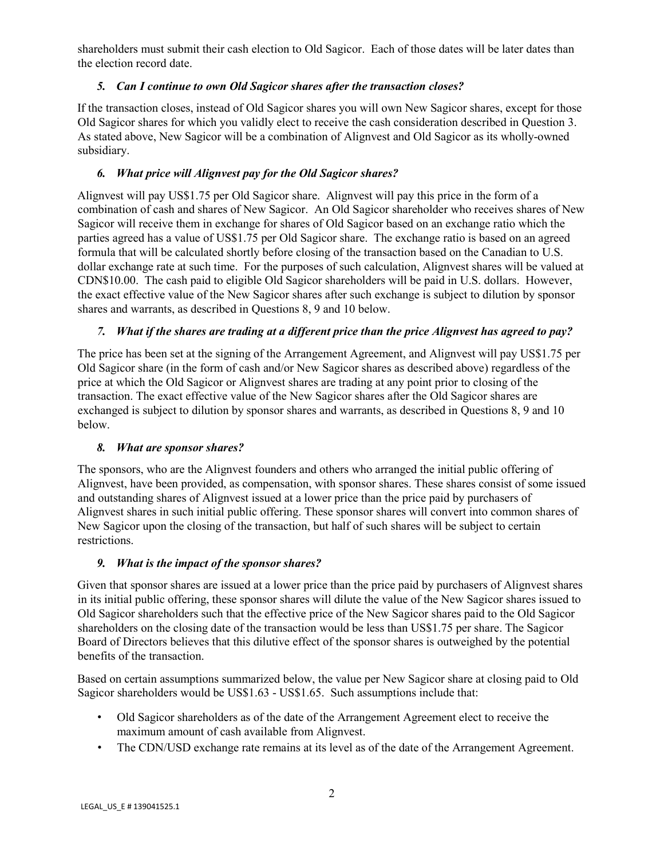shareholders must submit their cash election to Old Sagicor. Each of those dates will be later dates than the election record date.

## *5. Can I continue to own Old Sagicor shares after the transaction closes?*

If the transaction closes, instead of Old Sagicor shares you will own New Sagicor shares, except for those Old Sagicor shares for which you validly elect to receive the cash consideration described in Question 3. As stated above, New Sagicor will be a combination of Alignvest and Old Sagicor as its wholly-owned subsidiary.

## *6. What price will Alignvest pay for the Old Sagicor shares?*

Alignvest will pay US\$1.75 per Old Sagicor share. Alignvest will pay this price in the form of a combination of cash and shares of New Sagicor. An Old Sagicor shareholder who receives shares of New Sagicor will receive them in exchange for shares of Old Sagicor based on an exchange ratio which the parties agreed has a value of US\$1.75 per Old Sagicor share. The exchange ratio is based on an agreed formula that will be calculated shortly before closing of the transaction based on the Canadian to U.S. dollar exchange rate at such time. For the purposes of such calculation, Alignvest shares will be valued at CDN\$10.00. The cash paid to eligible Old Sagicor shareholders will be paid in U.S. dollars. However, the exact effective value of the New Sagicor shares after such exchange is subject to dilution by sponsor shares and warrants, as described in Questions 8, 9 and 10 below.

## *7. What if the shares are trading at a different price than the price Alignvest has agreed to pay?*

The price has been set at the signing of the Arrangement Agreement, and Alignvest will pay US\$1.75 per Old Sagicor share (in the form of cash and/or New Sagicor shares as described above) regardless of the price at which the Old Sagicor or Alignvest shares are trading at any point prior to closing of the transaction. The exact effective value of the New Sagicor shares after the Old Sagicor shares are exchanged is subject to dilution by sponsor shares and warrants, as described in Questions 8, 9 and 10 below.

#### *8. What are sponsor shares?*

The sponsors, who are the Alignvest founders and others who arranged the initial public offering of Alignvest, have been provided, as compensation, with sponsor shares. These shares consist of some issued and outstanding shares of Alignvest issued at a lower price than the price paid by purchasers of Alignvest shares in such initial public offering. These sponsor shares will convert into common shares of New Sagicor upon the closing of the transaction, but half of such shares will be subject to certain restrictions.

#### *9. What is the impact of the sponsor shares?*

Given that sponsor shares are issued at a lower price than the price paid by purchasers of Alignvest shares in its initial public offering, these sponsor shares will dilute the value of the New Sagicor shares issued to Old Sagicor shareholders such that the effective price of the New Sagicor shares paid to the Old Sagicor shareholders on the closing date of the transaction would be less than US\$1.75 per share. The Sagicor Board of Directors believes that this dilutive effect of the sponsor shares is outweighed by the potential benefits of the transaction.

Based on certain assumptions summarized below, the value per New Sagicor share at closing paid to Old Sagicor shareholders would be US\$1.63 - US\$1.65. Such assumptions include that:

- Old Sagicor shareholders as of the date of the Arrangement Agreement elect to receive the maximum amount of cash available from Alignvest.
- The CDN/USD exchange rate remains at its level as of the date of the Arrangement Agreement.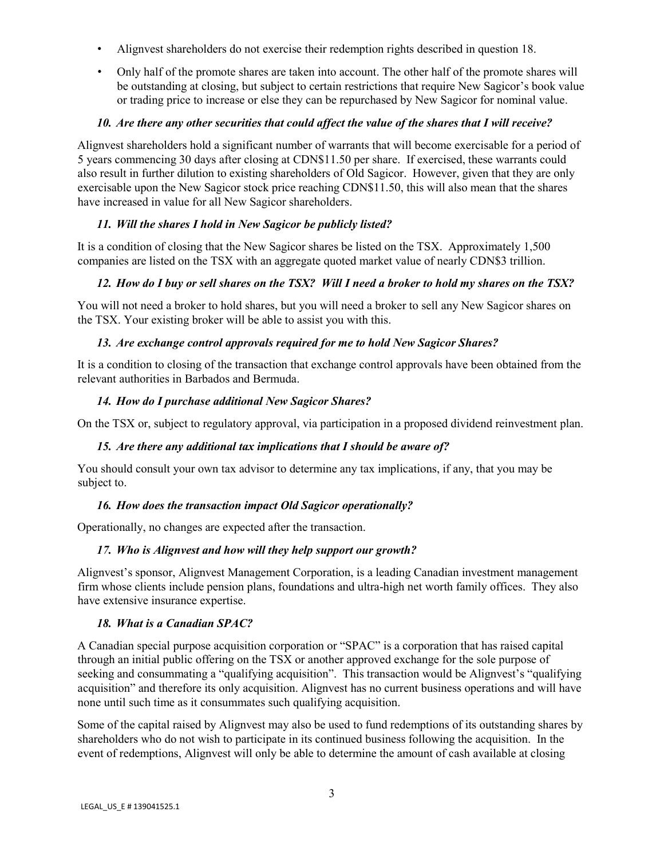- Alignvest shareholders do not exercise their redemption rights described in question 18.
- Only half of the promote shares are taken into account. The other half of the promote shares will be outstanding at closing, but subject to certain restrictions that require New Sagicor's book value or trading price to increase or else they can be repurchased by New Sagicor for nominal value.

## *10. Are there any other securities that could affect the value of the shares that I will receive?*

Alignvest shareholders hold a significant number of warrants that will become exercisable for a period of 5 years commencing 30 days after closing at CDN\$11.50 per share. If exercised, these warrants could also result in further dilution to existing shareholders of Old Sagicor. However, given that they are only exercisable upon the New Sagicor stock price reaching CDN\$11.50, this will also mean that the shares have increased in value for all New Sagicor shareholders.

# *11. Will the shares I hold in New Sagicor be publicly listed?*

It is a condition of closing that the New Sagicor shares be listed on the TSX. Approximately 1,500 companies are listed on the TSX with an aggregate quoted market value of nearly CDN\$3 trillion.

# *12. How do I buy or sell shares on the TSX? Will I need a broker to hold my shares on the TSX?*

You will not need a broker to hold shares, but you will need a broker to sell any New Sagicor shares on the TSX. Your existing broker will be able to assist you with this.

# *13. Are exchange control approvals required for me to hold New Sagicor Shares?*

It is a condition to closing of the transaction that exchange control approvals have been obtained from the relevant authorities in Barbados and Bermuda.

## *14. How do I purchase additional New Sagicor Shares?*

On the TSX or, subject to regulatory approval, via participation in a proposed dividend reinvestment plan.

# *15. Are there any additional tax implications that I should be aware of?*

You should consult your own tax advisor to determine any tax implications, if any, that you may be subject to.

# *16. How does the transaction impact Old Sagicor operationally?*

Operationally, no changes are expected after the transaction.

# *17. Who is Alignvest and how will they help support our growth?*

Alignvest's sponsor, Alignvest Management Corporation, is a leading Canadian investment management firm whose clients include pension plans, foundations and ultra-high net worth family offices. They also have extensive insurance expertise.

# *18. What is a Canadian SPAC?*

A Canadian special purpose acquisition corporation or "SPAC" is a corporation that has raised capital through an initial public offering on the TSX or another approved exchange for the sole purpose of seeking and consummating a "qualifying acquisition". This transaction would be Alignvest's "qualifying acquisition" and therefore its only acquisition. Alignvest has no current business operations and will have none until such time as it consummates such qualifying acquisition.

Some of the capital raised by Alignvest may also be used to fund redemptions of its outstanding shares by shareholders who do not wish to participate in its continued business following the acquisition. In the event of redemptions, Alignvest will only be able to determine the amount of cash available at closing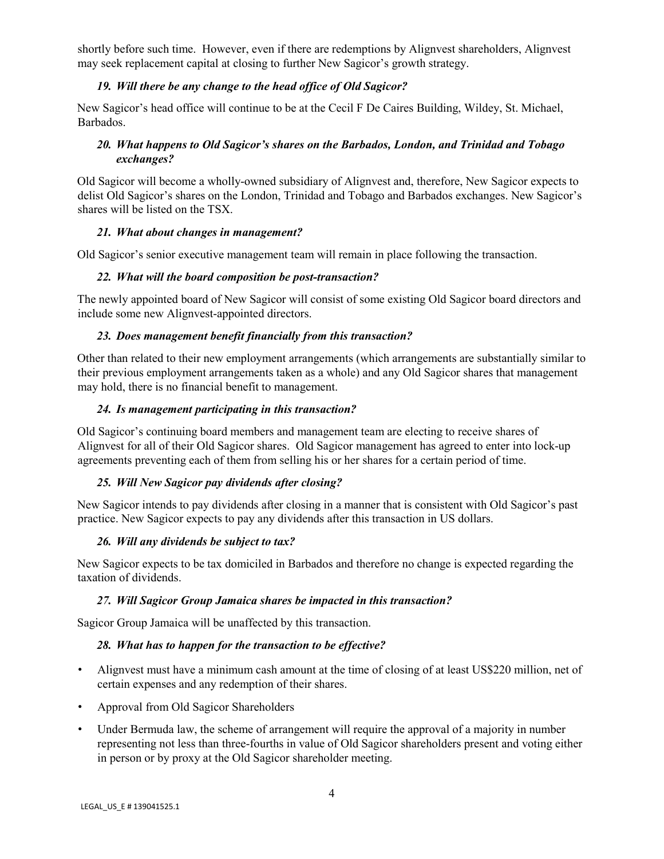shortly before such time. However, even if there are redemptions by Alignvest shareholders, Alignvest may seek replacement capital at closing to further New Sagicor's growth strategy.

## *19. Will there be any change to the head office of Old Sagicor?*

New Sagicor's head office will continue to be at the Cecil F De Caires Building, Wildey, St. Michael, Barbados.

## *20. What happens to Old Sagicor's shares on the Barbados, London, and Trinidad and Tobago exchanges?*

Old Sagicor will become a wholly-owned subsidiary of Alignvest and, therefore, New Sagicor expects to delist Old Sagicor's shares on the London, Trinidad and Tobago and Barbados exchanges. New Sagicor's shares will be listed on the TSX.

## *21. What about changes in management?*

Old Sagicor's senior executive management team will remain in place following the transaction.

## *22. What will the board composition be post-transaction?*

The newly appointed board of New Sagicor will consist of some existing Old Sagicor board directors and include some new Alignvest-appointed directors.

## *23. Does management benefit financially from this transaction?*

Other than related to their new employment arrangements (which arrangements are substantially similar to their previous employment arrangements taken as a whole) and any Old Sagicor shares that management may hold, there is no financial benefit to management.

#### *24. Is management participating in this transaction?*

Old Sagicor's continuing board members and management team are electing to receive shares of Alignvest for all of their Old Sagicor shares. Old Sagicor management has agreed to enter into lock-up agreements preventing each of them from selling his or her shares for a certain period of time.

# *25. Will New Sagicor pay dividends after closing?*

New Sagicor intends to pay dividends after closing in a manner that is consistent with Old Sagicor's past practice. New Sagicor expects to pay any dividends after this transaction in US dollars.

#### *26. Will any dividends be subject to tax?*

New Sagicor expects to be tax domiciled in Barbados and therefore no change is expected regarding the taxation of dividends.

#### *27. Will Sagicor Group Jamaica shares be impacted in this transaction?*

Sagicor Group Jamaica will be unaffected by this transaction.

#### *28. What has to happen for the transaction to be effective?*

- Alignvest must have a minimum cash amount at the time of closing of at least US\$220 million, net of certain expenses and any redemption of their shares.
- Approval from Old Sagicor Shareholders
- Under Bermuda law, the scheme of arrangement will require the approval of a majority in number representing not less than three-fourths in value of Old Sagicor shareholders present and voting either in person or by proxy at the Old Sagicor shareholder meeting.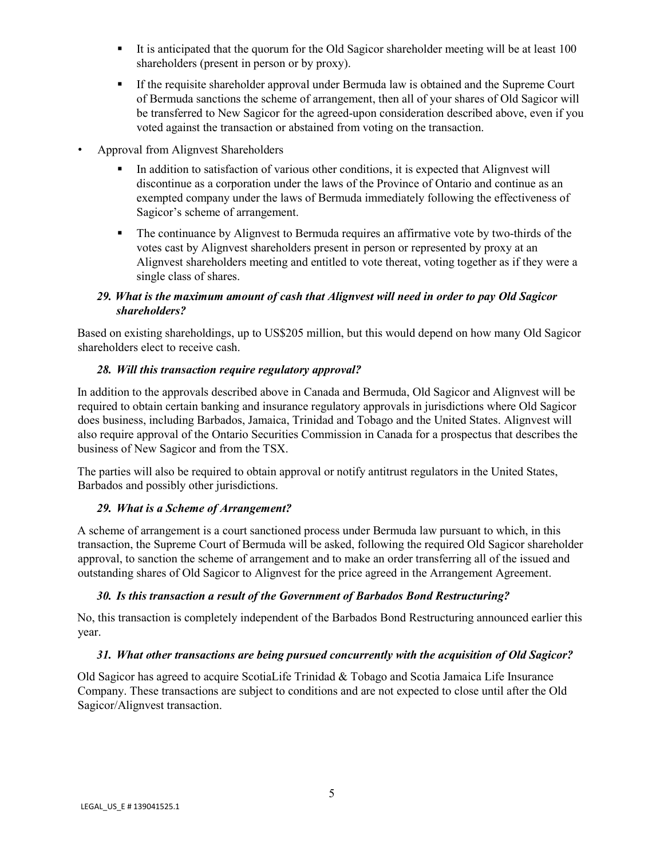- It is anticipated that the quorum for the Old Sagicor shareholder meeting will be at least 100 shareholders (present in person or by proxy).
- If the requisite shareholder approval under Bermuda law is obtained and the Supreme Court of Bermuda sanctions the scheme of arrangement, then all of your shares of Old Sagicor will be transferred to New Sagicor for the agreed-upon consideration described above, even if you voted against the transaction or abstained from voting on the transaction.
- Approval from Alignvest Shareholders
	- In addition to satisfaction of various other conditions, it is expected that Alignvest will discontinue as a corporation under the laws of the Province of Ontario and continue as an exempted company under the laws of Bermuda immediately following the effectiveness of Sagicor's scheme of arrangement.
	- The continuance by Alignvest to Bermuda requires an affirmative vote by two-thirds of the votes cast by Alignvest shareholders present in person or represented by proxy at an Alignvest shareholders meeting and entitled to vote thereat, voting together as if they were a single class of shares.

## *29. What is the maximum amount of cash that Alignvest will need in order to pay Old Sagicor shareholders?*

Based on existing shareholdings, up to US\$205 million, but this would depend on how many Old Sagicor shareholders elect to receive cash.

# *28. Will this transaction require regulatory approval?*

In addition to the approvals described above in Canada and Bermuda, Old Sagicor and Alignvest will be required to obtain certain banking and insurance regulatory approvals in jurisdictions where Old Sagicor does business, including Barbados, Jamaica, Trinidad and Tobago and the United States. Alignvest will also require approval of the Ontario Securities Commission in Canada for a prospectus that describes the business of New Sagicor and from the TSX.

The parties will also be required to obtain approval or notify antitrust regulators in the United States, Barbados and possibly other jurisdictions.

#### *29. What is a Scheme of Arrangement?*

A scheme of arrangement is a court sanctioned process under Bermuda law pursuant to which, in this transaction, the Supreme Court of Bermuda will be asked, following the required Old Sagicor shareholder approval, to sanction the scheme of arrangement and to make an order transferring all of the issued and outstanding shares of Old Sagicor to Alignvest for the price agreed in the Arrangement Agreement.

# *30. Is this transaction a result of the Government of Barbados Bond Restructuring?*

No, this transaction is completely independent of the Barbados Bond Restructuring announced earlier this year.

#### *31. What other transactions are being pursued concurrently with the acquisition of Old Sagicor?*

Old Sagicor has agreed to acquire ScotiaLife Trinidad & Tobago and Scotia Jamaica Life Insurance Company. These transactions are subject to conditions and are not expected to close until after the Old Sagicor/Alignvest transaction.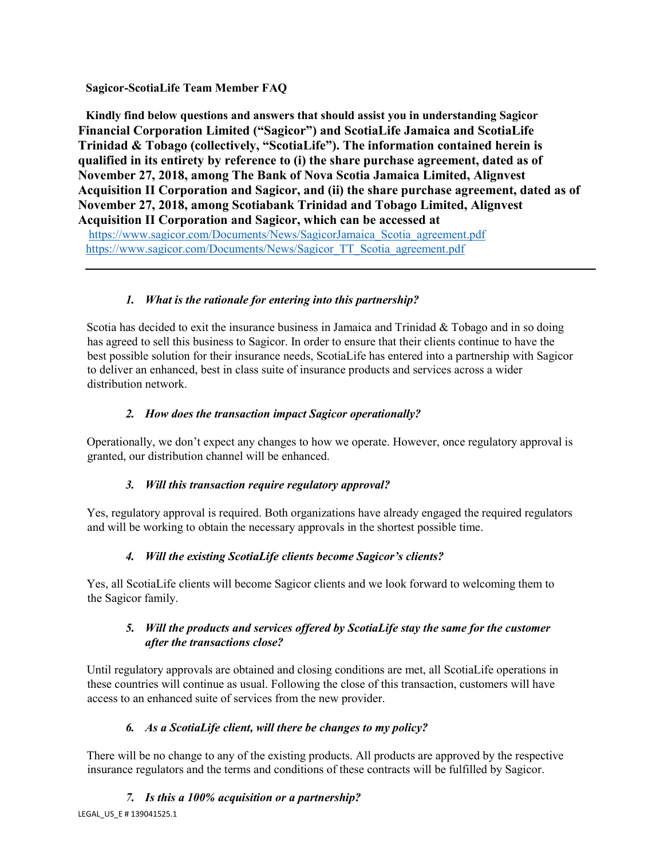# **Sagicor-ScotiaLife Team Member FAQ**

**Kindly find below questions and answers that should assist you in understanding Sagicor Financial Corporation Limited ("Sagicor") and ScotiaLife Jamaica and ScotiaLife Trinidad & Tobago (collectively, "ScotiaLife"). The information contained herein is qualified in its entirety by reference to (i) the share purchase agreement, dated as of November 27, 2018, among The Bank of Nova Scotia Jamaica Limited, Alignvest Acquisition II Corporation and Sagicor, and (ii) the share purchase agreement, dated as of November 27, 2018, among Scotiabank Trinidad and Tobago Limited, Alignvest Acquisition II Corporation and Sagicor, which can be accessed at** 

[https://www.sagicor.com/Documents/News/SagicorJamaica\\_Scotia\\_agreement.pdf](https://www.sagicor.com/Documents/News/SagicorJamaica_Scotia_agreement.pdf) [https://www.sagicor.com/Documents/News/Sagicor\\_TT\\_Scotia\\_agreement.pdf](https://www.sagicor.com/Documents/News/Sagicor_TT_Scotia_agreement.pdf)

# *1. What is the rationale for entering into this partnership?*

Scotia has decided to exit the insurance business in Jamaica and Trinidad & Tobago and in so doing has agreed to sell this business to Sagicor. In order to ensure that their clients continue to have the best possible solution for their insurance needs, ScotiaLife has entered into a partnership with Sagicor to deliver an enhanced, best in class suite of insurance products and services across a wider distribution network.

# *2. How does the transaction impact Sagicor operationally?*

Operationally, we don't expect any changes to how we operate. However, once regulatory approval is granted, our distribution channel will be enhanced.

# *3. Will this transaction require regulatory approval?*

Yes, regulatory approval is required. Both organizations have already engaged the required regulators and will be working to obtain the necessary approvals in the shortest possible time.

# *4. Will the existing ScotiaLife clients become Sagicor's clients?*

Yes, all ScotiaLife clients will become Sagicor clients and we look forward to welcoming them to the Sagicor family.

# *5. Will the products and services offered by ScotiaLife stay the same for the customer after the transactions close?*

Until regulatory approvals are obtained and closing conditions are met, all ScotiaLife operations in these countries will continue as usual. Following the close of this transaction, customers will have access to an enhanced suite of services from the new provider.

# *6. As a ScotiaLife client, will there be changes to my policy?*

There will be no change to any of the existing products. All products are approved by the respective insurance regulators and the terms and conditions of these contracts will be fulfilled by Sagicor.

# *7. Is this a 100% acquisition or a partnership?*